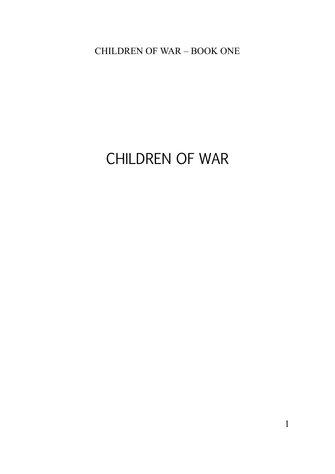# CHILDREN OF WAR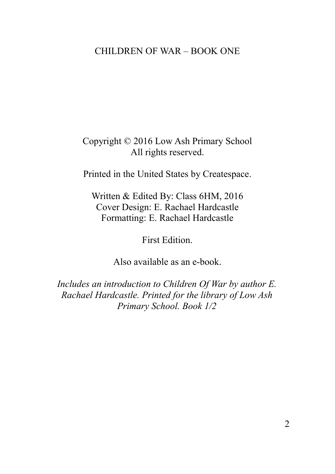Copyright © 2016 Low Ash Primary School All rights reserved.

Printed in the United States by Createspace.

Written & Edited By: Class 6HM, 2016 Cover Design: E. Rachael Hardcastle Formatting: E. Rachael Hardcastle

First Edition.

Also available as an e-book.

*Includes an introduction to Children Of War by author E. Rachael Hardcastle. Printed for the library of Low Ash Primary School. Book 1/2*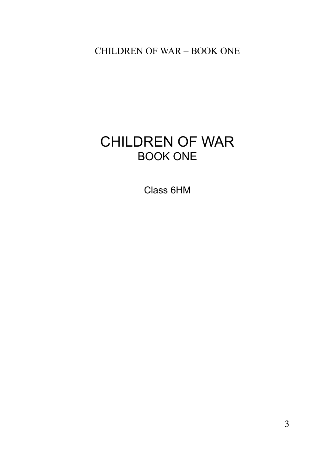# CHILDREN OF WAR BOOK ONE

Class 6HM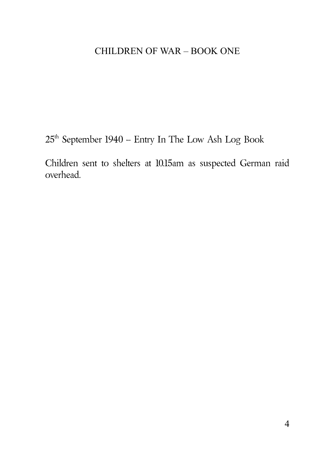$25^{\text{th}}$  September 1940 – Entry In The Low Ash Log Book

Children sent to shelters at 10.15am as suspected German raid overhead.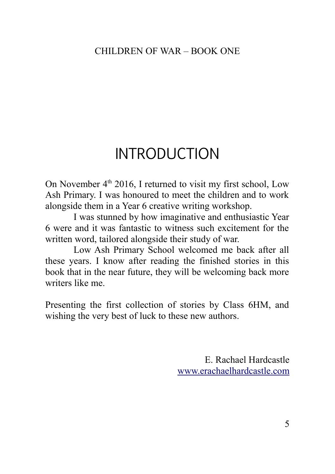# INTRODUCTION

On November  $4<sup>th</sup>$  2016. I returned to visit my first school, Low Ash Primary. I was honoured to meet the children and to work alongside them in a Year 6 creative writing workshop.

I was stunned by how imaginative and enthusiastic Year 6 were and it was fantastic to witness such excitement for the written word, tailored alongside their study of war.

Low Ash Primary School welcomed me back after all these years. I know after reading the finished stories in this book that in the near future, they will be welcoming back more writers like me.

Presenting the first collection of stories by Class 6HM, and wishing the very best of luck to these new authors.

> E. Rachael Hardcastle [www.erachaelhardcastle.com](http://www.erachaelhardcastle.com/)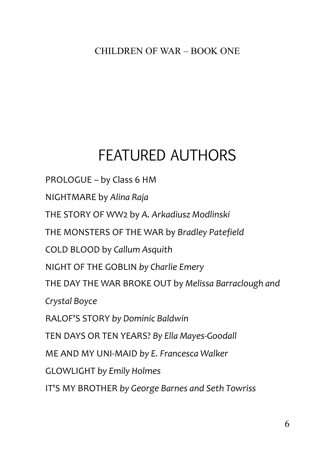# FEATURED AUTHORS

[PROLOGUE – by Class 6 HM](#page-6-0) [NIGHTMARE by](#page-7-0) *[Alina Raja](#page-7-0)* [THE STORY OF WW2 by](#page-9-0) *[A. Arkadiusz Modlinski](#page-9-0)*  [THE MONSTERS OF THE WAR by](#page-11-0) *[Bradley Patefield](#page-11-0)* [COLD BLOOD by](#page-13-0) *[Callum Asquith](#page-13-0)* [NIGHT OF THE GOBLIN](#page-15-0) *[by Charlie](#page-15-0) Emery* [THE DAY THE WAR BROKE OUT by](#page-17-0) *[Melissa Barraclough and](#page-17-0)  [Crystal Boyce](#page-17-0)* [RALOF'S STORY](#page-20-0) *[by Dominic Baldwin](#page-20-0)* [TEN DAYS OR TEN YEARS?](#page-28-0) *[By Ella Mayes-Goodall](#page-28-0)* [ME AND MY UNI-MAID](#page-32-0) *[by E. Francesca Walker](#page-32-0)* [GLOWLIGHT](#page-34-0) *[by Emily Holmes](#page-34-0)* [IT'S MY BROTHER](#page-36-0) *[by George Barnes and Seth Towriss](#page-36-0)*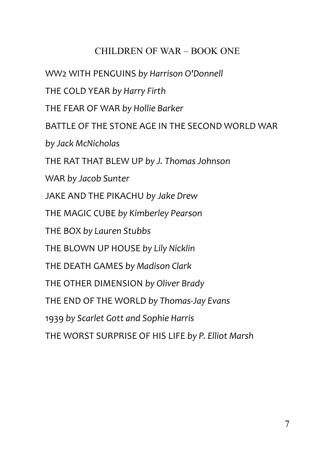<span id="page-6-0"></span>[WW2 WITH PENGUINS](#page-38-0) *[by Harrison O'Donnell](#page-38-0)* [THE COLD YEAR](#page-40-0) *[by Harry Firth](#page-40-0)* [THE FEAR OF WAR](#page-42-0) *[by Hollie Barker](#page-42-0)* [BATTLE OF THE STONE AGE IN THE SECOND WORLD WAR](#page-44-0) *[by Jack McNicholas](#page-44-0)* [THE RAT THAT BLEW UP](#page-46-0) *[by J. Thomas Johnson](#page-46-0)* [WAR](#page-48-0) *[by Jacob Sunter](#page-48-0)* [JAKE AND THE PIKACHU](#page-50-0) *[by Jake Drew](#page-50-0)* [THE MAGIC CUBE](#page-52-0) *[by Kimberley Pearson](#page-52-0)* [THE BOX](#page-53-0) *[by Lauren Stubbs](#page-53-0)* [THE BLOWN UP HOUSE](#page-56-0) *[by Lily Nicklin](#page-56-0)* [THE DEATH GAMES](#page-58-0) *[by Madison Clark](#page-58-0)* [THE OTHER DIMENSION](#page-59-0) *[by Oliver Brady](#page-59-0)* [THE END OF THE WORLD](#page-62-0) *[by Thomas-Jay Evans](#page-62-0)* [1939](#page-64-0) *[by Scarlet Gott and Sophie Harris](#page-64-0)* [THE WORST SURPRISE OF HIS LIFE](#page-65-0) *[by P. Elliot Marsh](#page-65-0)*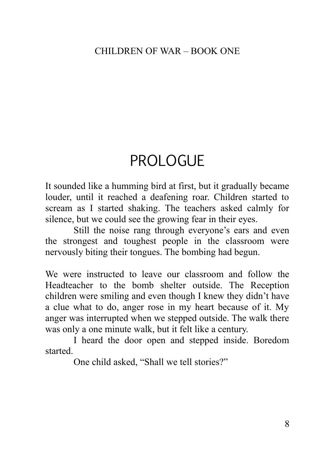# PROLOGUE

It sounded like a humming bird at first, but it gradually became louder, until it reached a deafening roar. Children started to scream as I started shaking. The teachers asked calmly for silence, but we could see the growing fear in their eyes.

Still the noise rang through everyone's ears and even the strongest and toughest people in the classroom were nervously biting their tongues. The bombing had begun.

We were instructed to leave our classroom and follow the Headteacher to the bomb shelter outside. The Reception children were smiling and even though I knew they didn't have a clue what to do, anger rose in my heart because of it. My anger was interrupted when we stepped outside. The walk there was only a one minute walk, but it felt like a century.

I heard the door open and stepped inside. Boredom started.

<span id="page-7-0"></span>One child asked, "Shall we tell stories?"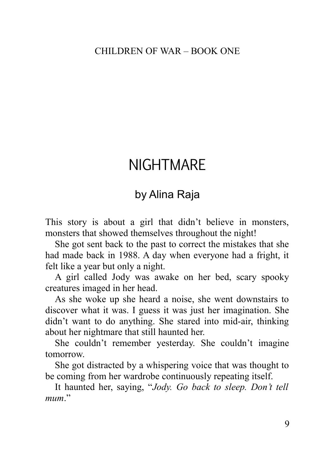# NIGHTMARE

# by Alina Raja

This story is about a girl that didn't believe in monsters, monsters that showed themselves throughout the night!

She got sent back to the past to correct the mistakes that she had made back in 1988. A day when everyone had a fright, it felt like a year but only a night.

A girl called Jody was awake on her bed, scary spooky creatures imaged in her head.

As she woke up she heard a noise, she went downstairs to discover what it was. I guess it was just her imagination. She didn't want to do anything. She stared into mid-air, thinking about her nightmare that still haunted her.

She couldn't remember yesterday. She couldn't imagine tomorrow.

She got distracted by a whispering voice that was thought to be coming from her wardrobe continuously repeating itself.

It haunted her, saying, "*Jody. Go back to sleep. Don't tell mum*."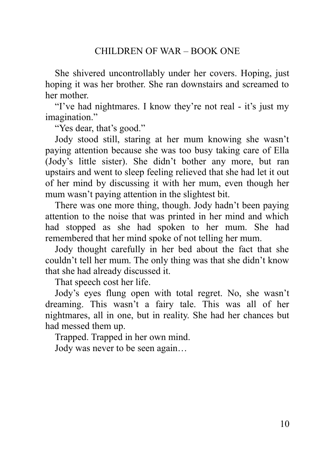She shivered uncontrollably under her covers. Hoping, just hoping it was her brother. She ran downstairs and screamed to her mother.

"I've had nightmares. I know they're not real - it's just my imagination."

"Yes dear, that's good."

Jody stood still, staring at her mum knowing she wasn't paying attention because she was too busy taking care of Ella (Jody's little sister). She didn't bother any more, but ran upstairs and went to sleep feeling relieved that she had let it out of her mind by discussing it with her mum, even though her mum wasn't paying attention in the slightest bit.

There was one more thing, though. Jody hadn't been paying attention to the noise that was printed in her mind and which had stopped as she had spoken to her mum. She had remembered that her mind spoke of not telling her mum.

Jody thought carefully in her bed about the fact that she couldn't tell her mum. The only thing was that she didn't know that she had already discussed it.

That speech cost her life.

Jody's eyes flung open with total regret. No, she wasn't dreaming. This wasn't a fairy tale. This was all of her nightmares, all in one, but in reality. She had her chances but had messed them up.

Trapped. Trapped in her own mind.

<span id="page-9-0"></span>Jody was never to be seen again…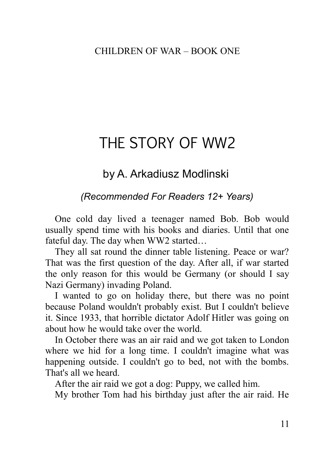# THE STORY OF WW2

# by A. Arkadiusz Modlinski

## *(Recommended For Readers 12+ Years)*

One cold day lived a teenager named Bob. Bob would usually spend time with his books and diaries. Until that one fateful day. The day when WW2 started…

They all sat round the dinner table listening. Peace or war? That was the first question of the day. After all, if war started the only reason for this would be Germany (or should I say Nazi Germany) invading Poland.

I wanted to go on holiday there, but there was no point because Poland wouldn't probably exist. But I couldn't believe it. Since 1933, that horrible dictator Adolf Hitler was going on about how he would take over the world.

In October there was an air raid and we got taken to London where we hid for a long time. I couldn't imagine what was happening outside. I couldn't go to bed, not with the bombs. That's all we heard.

After the air raid we got a dog: Puppy, we called him.

My brother Tom had his birthday just after the air raid. He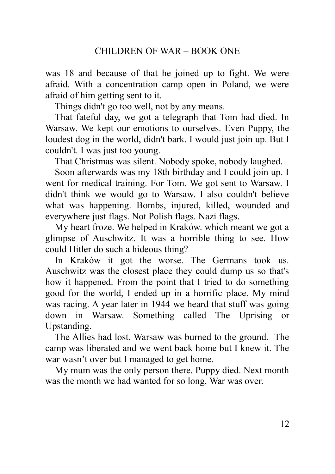was 18 and because of that he joined up to fight. We were afraid. With a concentration camp open in Poland, we were afraid of him getting sent to it.

Things didn't go too well, not by any means.

That fateful day, we got a telegraph that Tom had died. In Warsaw. We kept our emotions to ourselves. Even Puppy, the loudest dog in the world, didn't bark. I would just join up. But I couldn't. I was just too young.

That Christmas was silent. Nobody spoke, nobody laughed.

Soon afterwards was my 18th birthday and I could join up. I went for medical training. For Tom. We got sent to Warsaw. I didn't think we would go to Warsaw. I also couldn't believe what was happening. Bombs, injured, killed, wounded and everywhere just flags. Not Polish flags. Nazi flags.

My heart froze. We helped in Kraków. which meant we got a glimpse of Auschwitz. It was a horrible thing to see. How could Hitler do such a hideous thing?

In Kraków it got the worse. The Germans took us. Auschwitz was the closest place they could dump us so that's how it happened. From the point that I tried to do something good for the world, I ended up in a horrific place. My mind was racing. A year later in 1944 we heard that stuff was going down in Warsaw. Something called The Uprising or Upstanding.

The Allies had lost. Warsaw was burned to the ground. The camp was liberated and we went back home but I knew it. The war wasn't over but I managed to get home.

<span id="page-11-0"></span>My mum was the only person there. Puppy died. Next month was the month we had wanted for so long. War was over.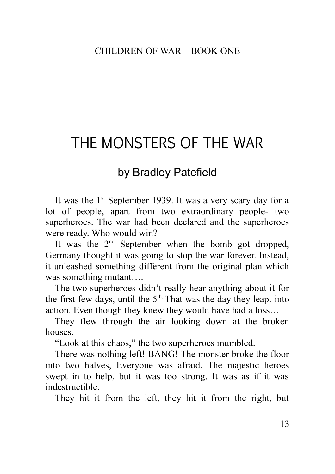# THE MONSTERS OF THE WAR

# by Bradley Patefield

It was the  $1<sup>st</sup>$  September 1939. It was a very scary day for a lot of people, apart from two extraordinary people- two superheroes. The war had been declared and the superheroes were ready. Who would win?

It was the  $2<sup>nd</sup>$  September when the bomb got dropped, Germany thought it was going to stop the war forever. Instead, it unleashed something different from the original plan which was something mutant….

The two superheroes didn't really hear anything about it for the first few days, until the  $5<sup>th</sup>$ . That was the day they leapt into action. Even though they knew they would have had a loss…

They flew through the air looking down at the broken houses.

"Look at this chaos," the two superheroes mumbled.

There was nothing left! BANG! The monster broke the floor into two halves, Everyone was afraid. The majestic heroes swept in to help, but it was too strong. It was as if it was indestructible.

They hit it from the left, they hit it from the right, but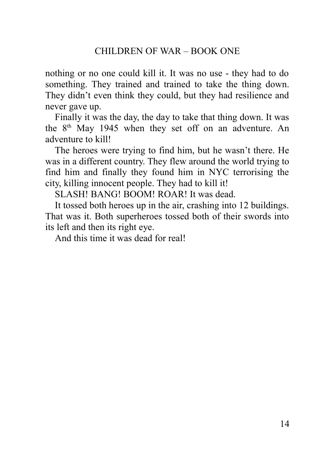nothing or no one could kill it. It was no use - they had to do something. They trained and trained to take the thing down. They didn't even think they could, but they had resilience and never gave up.

Finally it was the day, the day to take that thing down. It was the  $8<sup>th</sup>$  May 1945 when they set off on an adventure. An adventure to kill!

The heroes were trying to find him, but he wasn't there. He was in a different country. They flew around the world trying to find him and finally they found him in NYC terrorising the city, killing innocent people. They had to kill it!

SLASH! BANG! BOOM! ROAR! It was dead.

It tossed both heroes up in the air, crashing into 12 buildings. That was it. Both superheroes tossed both of their swords into its left and then its right eye.

<span id="page-13-0"></span>And this time it was dead for real!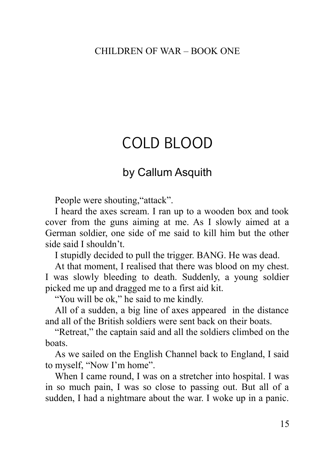# COLD BLOOD

## by Callum Asquith

People were shouting, "attack".

I heard the axes scream. I ran up to a wooden box and took cover from the guns aiming at me. As I slowly aimed at a German soldier, one side of me said to kill him but the other side said I shouldn't.

I stupidly decided to pull the trigger. BANG. He was dead.

At that moment, I realised that there was blood on my chest. I was slowly bleeding to death. Suddenly, a young soldier picked me up and dragged me to a first aid kit.

"You will be ok," he said to me kindly.

All of a sudden, a big line of axes appeared in the distance and all of the British soldiers were sent back on their boats.

"Retreat," the captain said and all the soldiers climbed on the boats.

As we sailed on the English Channel back to England, I said to myself, "Now I'm home".

When I came round, I was on a stretcher into hospital. I was in so much pain, I was so close to passing out. But all of a sudden, I had a nightmare about the war. I woke up in a panic.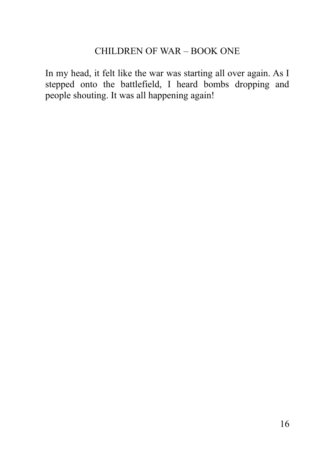<span id="page-15-0"></span>In my head, it felt like the war was starting all over again. As I stepped onto the battlefield, I heard bombs dropping and people shouting. It was all happening again!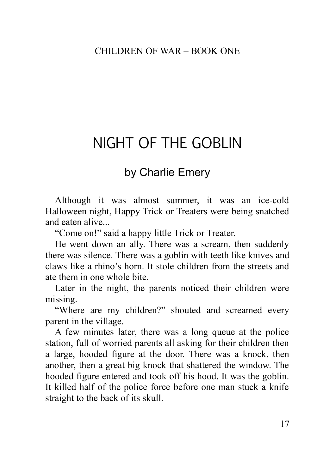# NIGHT OF THE GOBLIN

# by Charlie Emery

Although it was almost summer, it was an ice-cold Halloween night, Happy Trick or Treaters were being snatched and eaten alive...

"Come on!" said a happy little Trick or Treater.

He went down an ally. There was a scream, then suddenly there was silence. There was a goblin with teeth like knives and claws like a rhino's horn. It stole children from the streets and ate them in one whole bite.

Later in the night, the parents noticed their children were missing.

"Where are my children?" shouted and screamed every parent in the village.

A few minutes later, there was a long queue at the police station, full of worried parents all asking for their children then a large, hooded figure at the door. There was a knock, then another, then a great big knock that shattered the window. The hooded figure entered and took off his hood. It was the goblin. It killed half of the police force before one man stuck a knife straight to the back of its skull.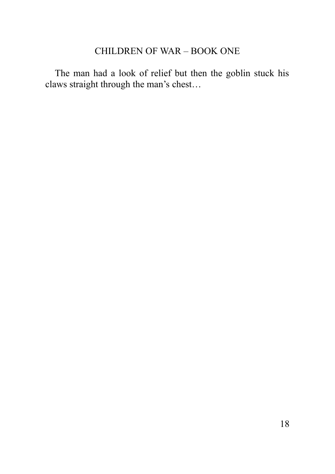<span id="page-17-0"></span>The man had a look of relief but then the goblin stuck his claws straight through the man's chest…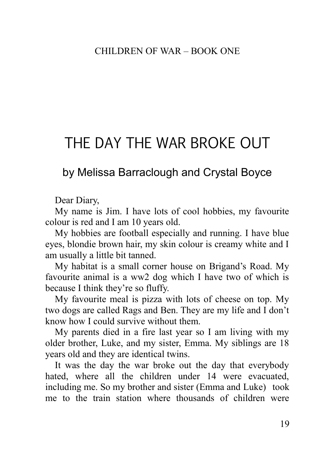# THE DAY THE WAR BROKE OUT

# by Melissa Barraclough and Crystal Boyce

Dear Diary,

My name is Jim. I have lots of cool hobbies, my favourite colour is red and I am 10 years old.

My hobbies are football especially and running. I have blue eyes, blondie brown hair, my skin colour is creamy white and I am usually a little bit tanned.

My habitat is a small corner house on Brigand's Road. My favourite animal is a ww2 dog which I have two of which is because I think they're so fluffy.

My favourite meal is pizza with lots of cheese on top. My two dogs are called Rags and Ben. They are my life and I don't know how I could survive without them.

My parents died in a fire last year so I am living with my older brother, Luke, and my sister, Emma. My siblings are 18 years old and they are identical twins.

It was the day the war broke out the day that everybody hated, where all the children under 14 were evacuated, including me. So my brother and sister (Emma and Luke) took me to the train station where thousands of children were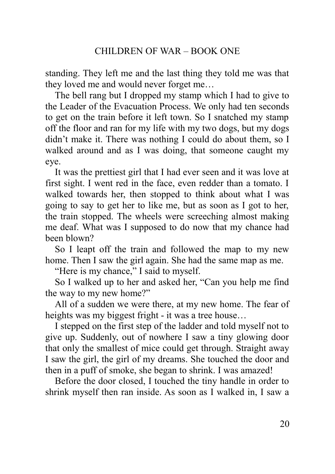standing. They left me and the last thing they told me was that they loved me and would never forget me…

The bell rang but I dropped my stamp which I had to give to the Leader of the Evacuation Process. We only had ten seconds to get on the train before it left town. So I snatched my stamp off the floor and ran for my life with my two dogs, but my dogs didn't make it. There was nothing I could do about them, so I walked around and as I was doing, that someone caught my eye.

It was the prettiest girl that I had ever seen and it was love at first sight. I went red in the face, even redder than a tomato. I walked towards her, then stopped to think about what I was going to say to get her to like me, but as soon as I got to her, the train stopped. The wheels were screeching almost making me deaf. What was I supposed to do now that my chance had been blown?

So I leapt off the train and followed the map to my new home. Then I saw the girl again. She had the same map as me.

"Here is my chance," I said to myself.

So I walked up to her and asked her, "Can you help me find the way to my new home?"

All of a sudden we were there, at my new home. The fear of heights was my biggest fright - it was a tree house…

I stepped on the first step of the ladder and told myself not to give up. Suddenly, out of nowhere I saw a tiny glowing door that only the smallest of mice could get through. Straight away I saw the girl, the girl of my dreams. She touched the door and then in a puff of smoke, she began to shrink. I was amazed!

Before the door closed, I touched the tiny handle in order to shrink myself then ran inside. As soon as I walked in, I saw a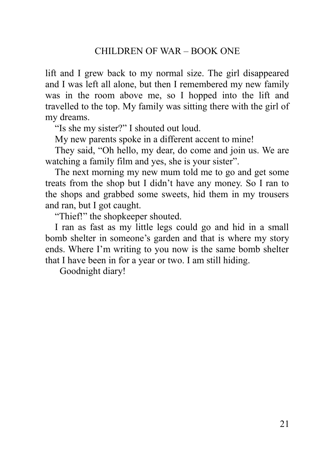lift and I grew back to my normal size. The girl disappeared and I was left all alone, but then I remembered my new family was in the room above me, so I hopped into the lift and travelled to the top. My family was sitting there with the girl of my dreams.

"Is she my sister?" I shouted out loud.

My new parents spoke in a different accent to mine!

They said, "Oh hello, my dear, do come and join us. We are watching a family film and yes, she is your sister".

The next morning my new mum told me to go and get some treats from the shop but I didn't have any money. So I ran to the shops and grabbed some sweets, hid them in my trousers and ran, but I got caught.

"Thief!" the shopkeeper shouted.

I ran as fast as my little legs could go and hid in a small bomb shelter in someone's garden and that is where my story ends. Where I'm writing to you now is the same bomb shelter that I have been in for a year or two. I am still hiding.

<span id="page-20-0"></span>Goodnight diary!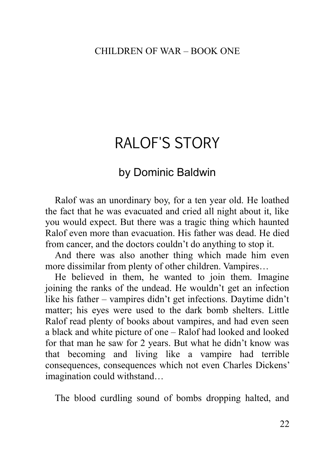# RALOF'S STORY

## by Dominic Baldwin

Ralof was an unordinary boy, for a ten year old. He loathed the fact that he was evacuated and cried all night about it, like you would expect. But there was a tragic thing which haunted Ralof even more than evacuation. His father was dead. He died from cancer, and the doctors couldn't do anything to stop it.

And there was also another thing which made him even more dissimilar from plenty of other children. Vampires…

He believed in them, he wanted to join them. Imagine joining the ranks of the undead. He wouldn't get an infection like his father – vampires didn't get infections. Daytime didn't matter; his eyes were used to the dark bomb shelters. Little Ralof read plenty of books about vampires, and had even seen a black and white picture of one – Ralof had looked and looked for that man he saw for 2 years. But what he didn't know was that becoming and living like a vampire had terrible consequences, consequences which not even Charles Dickens' imagination could withstand…

The blood curdling sound of bombs dropping halted, and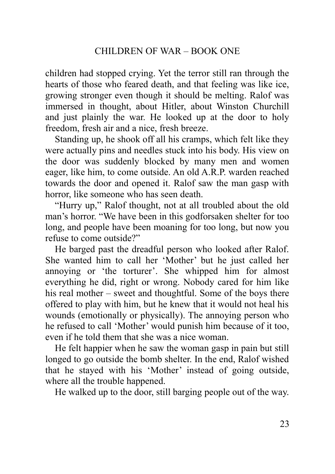children had stopped crying. Yet the terror still ran through the hearts of those who feared death, and that feeling was like ice, growing stronger even though it should be melting. Ralof was immersed in thought, about Hitler, about Winston Churchill and just plainly the war. He looked up at the door to holy freedom, fresh air and a nice, fresh breeze.

Standing up, he shook off all his cramps, which felt like they were actually pins and needles stuck into his body. His view on the door was suddenly blocked by many men and women eager, like him, to come outside. An old A.R.P. warden reached towards the door and opened it. Ralof saw the man gasp with horror, like someone who has seen death.

"Hurry up," Ralof thought, not at all troubled about the old man's horror. "We have been in this godforsaken shelter for too long, and people have been moaning for too long, but now you refuse to come outside?"

He barged past the dreadful person who looked after Ralof. She wanted him to call her 'Mother' but he just called her annoying or 'the torturer'. She whipped him for almost everything he did, right or wrong. Nobody cared for him like his real mother – sweet and thoughtful. Some of the boys there offered to play with him, but he knew that it would not heal his wounds (emotionally or physically). The annoying person who he refused to call 'Mother' would punish him because of it too, even if he told them that she was a nice woman.

He felt happier when he saw the woman gasp in pain but still longed to go outside the bomb shelter. In the end, Ralof wished that he stayed with his 'Mother' instead of going outside, where all the trouble happened.

He walked up to the door, still barging people out of the way.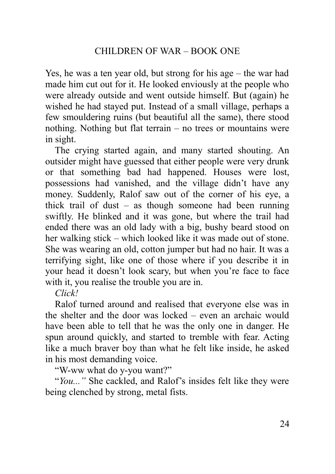Yes, he was a ten year old, but strong for his age – the war had made him cut out for it. He looked enviously at the people who were already outside and went outside himself. But (again) he wished he had stayed put. Instead of a small village, perhaps a few smouldering ruins (but beautiful all the same), there stood nothing. Nothing but flat terrain – no trees or mountains were in sight.

The crying started again, and many started shouting. An outsider might have guessed that either people were very drunk or that something bad had happened. Houses were lost, possessions had vanished, and the village didn't have any money. Suddenly, Ralof saw out of the corner of his eye, a thick trail of dust – as though someone had been running swiftly. He blinked and it was gone, but where the trail had ended there was an old lady with a big, bushy beard stood on her walking stick – which looked like it was made out of stone. She was wearing an old, cotton jumper but had no hair. It was a terrifying sight, like one of those where if you describe it in your head it doesn't look scary, but when you're face to face with it, you realise the trouble you are in.

#### *Click!*

Ralof turned around and realised that everyone else was in the shelter and the door was locked – even an archaic would have been able to tell that he was the only one in danger. He spun around quickly, and started to tremble with fear. Acting like a much braver boy than what he felt like inside, he asked in his most demanding voice.

"W-ww what do y-you want?"

"*You..."* She cackled, and Ralof's insides felt like they were being clenched by strong, metal fists.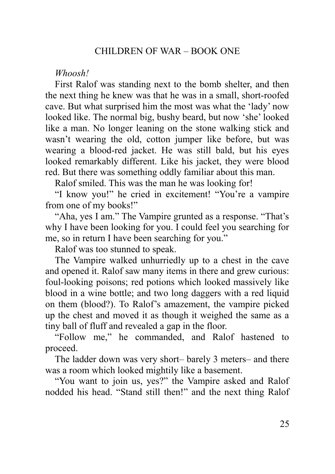#### *Whoosh!*

First Ralof was standing next to the bomb shelter, and then the next thing he knew was that he was in a small, short-roofed cave. But what surprised him the most was what the 'lady' now looked like. The normal big, bushy beard, but now 'she' looked like a man. No longer leaning on the stone walking stick and wasn't wearing the old, cotton jumper like before, but was wearing a blood-red jacket. He was still bald, but his eyes looked remarkably different. Like his jacket, they were blood red. But there was something oddly familiar about this man.

Ralof smiled. This was the man he was looking for!

"I know you!" he cried in excitement! "You're a vampire from one of my books!"

"Aha, yes I am." The Vampire grunted as a response. "That's why I have been looking for you. I could feel you searching for me, so in return I have been searching for you."

Ralof was too stunned to speak.

The Vampire walked unhurriedly up to a chest in the cave and opened it. Ralof saw many items in there and grew curious: foul-looking poisons; red potions which looked massively like blood in a wine bottle; and two long daggers with a red liquid on them (blood?). To Ralof's amazement, the vampire picked up the chest and moved it as though it weighed the same as a tiny ball of fluff and revealed a gap in the floor.

"Follow me," he commanded, and Ralof hastened to proceed.

The ladder down was very short– barely 3 meters– and there was a room which looked mightily like a basement.

"You want to join us, yes?" the Vampire asked and Ralof nodded his head. "Stand still then!" and the next thing Ralof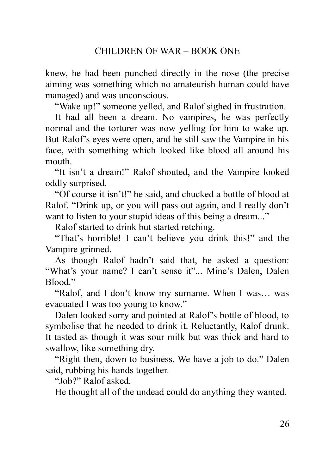knew, he had been punched directly in the nose (the precise aiming was something which no amateurish human could have managed) and was unconscious.

"Wake up!" someone yelled, and Ralof sighed in frustration.

It had all been a dream. No vampires, he was perfectly normal and the torturer was now yelling for him to wake up. But Ralof's eyes were open, and he still saw the Vampire in his face, with something which looked like blood all around his mouth.

"It isn't a dream!" Ralof shouted, and the Vampire looked oddly surprised.

"Of course it isn't!" he said, and chucked a bottle of blood at Ralof. "Drink up, or you will pass out again, and I really don't want to listen to your stupid ideas of this being a dream..."

Ralof started to drink but started retching.

"That's horrible! I can't believe you drink this!" and the Vampire grinned.

As though Ralof hadn't said that, he asked a question: "What's your name? I can't sense it"... Mine's Dalen, Dalen Blood<sup>"</sup>

"Ralof, and I don't know my surname. When I was… was evacuated I was too young to know."

Dalen looked sorry and pointed at Ralof's bottle of blood, to symbolise that he needed to drink it. Reluctantly, Ralof drunk. It tasted as though it was sour milk but was thick and hard to swallow, like something dry.

"Right then, down to business. We have a job to do." Dalen said, rubbing his hands together.

"Job?" Ralof asked.

He thought all of the undead could do anything they wanted.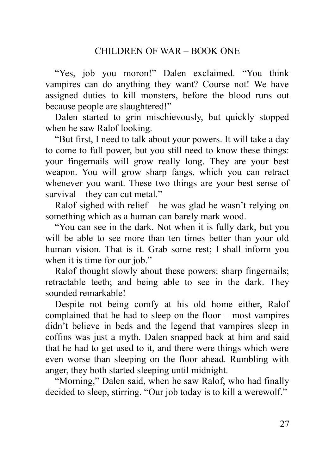"Yes, job you moron!" Dalen exclaimed. "You think vampires can do anything they want? Course not! We have assigned duties to kill monsters, before the blood runs out because people are slaughtered!"

Dalen started to grin mischievously, but quickly stopped when he saw Ralof looking.

"But first, I need to talk about your powers. It will take a day to come to full power, but you still need to know these things: your fingernails will grow really long. They are your best weapon. You will grow sharp fangs, which you can retract whenever you want. These two things are your best sense of survival – they can cut metal."

Ralof sighed with relief – he was glad he wasn't relying on something which as a human can barely mark wood.

"You can see in the dark. Not when it is fully dark, but you will be able to see more than ten times better than your old human vision. That is it. Grab some rest; I shall inform you when it is time for our job."

Ralof thought slowly about these powers: sharp fingernails; retractable teeth; and being able to see in the dark. They sounded remarkable!

Despite not being comfy at his old home either, Ralof complained that he had to sleep on the floor – most vampires didn't believe in beds and the legend that vampires sleep in coffins was just a myth. Dalen snapped back at him and said that he had to get used to it, and there were things which were even worse than sleeping on the floor ahead. Rumbling with anger, they both started sleeping until midnight.

"Morning," Dalen said, when he saw Ralof, who had finally decided to sleep, stirring. "Our job today is to kill a werewolf."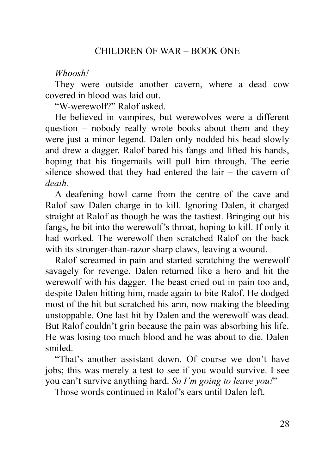#### *Whoosh!*

They were outside another cavern, where a dead cow covered in blood was laid out.

"W-werewolf?" Ralof asked.

He believed in vampires, but werewolves were a different question – nobody really wrote books about them and they were just a minor legend. Dalen only nodded his head slowly and drew a dagger. Ralof bared his fangs and lifted his hands, hoping that his fingernails will pull him through. The eerie silence showed that they had entered the lair – the cavern of *death*.

A deafening howl came from the centre of the cave and Ralof saw Dalen charge in to kill. Ignoring Dalen, it charged straight at Ralof as though he was the tastiest. Bringing out his fangs, he bit into the werewolf's throat, hoping to kill. If only it had worked. The werewolf then scratched Ralof on the back with its stronger-than-razor sharp claws, leaving a wound.

Ralof screamed in pain and started scratching the werewolf savagely for revenge. Dalen returned like a hero and hit the werewolf with his dagger. The beast cried out in pain too and, despite Dalen hitting him, made again to bite Ralof. He dodged most of the hit but scratched his arm, now making the bleeding unstoppable. One last hit by Dalen and the werewolf was dead. But Ralof couldn't grin because the pain was absorbing his life. He was losing too much blood and he was about to die. Dalen smiled.

"That's another assistant down. Of course we don't have jobs; this was merely a test to see if you would survive. I see you can't survive anything hard. *So I'm going to leave you!*"

Those words continued in Ralof's ears until Dalen left.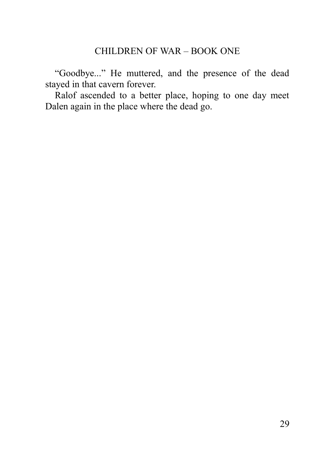"Goodbye..." He muttered, and the presence of the dead stayed in that cavern forever.

<span id="page-28-0"></span>Ralof ascended to a better place, hoping to one day meet Dalen again in the place where the dead go.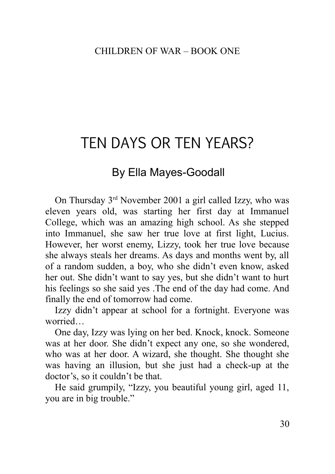# TEN DAYS OR TEN YEARS?

# By Ella Mayes-Goodall

On Thursday 3rd November 2001 a girl called Izzy, who was eleven years old, was starting her first day at Immanuel College, which was an amazing high school. As she stepped into Immanuel, she saw her true love at first light, Lucius. However, her worst enemy, Lizzy, took her true love because she always steals her dreams. As days and months went by, all of a random sudden, a boy, who she didn't even know, asked her out. She didn't want to say yes, but she didn't want to hurt his feelings so she said yes .The end of the day had come. And finally the end of tomorrow had come.

Izzy didn't appear at school for a fortnight. Everyone was worried…

One day, Izzy was lying on her bed. Knock, knock. Someone was at her door. She didn't expect any one, so she wondered, who was at her door. A wizard, she thought. She thought she was having an illusion, but she just had a check-up at the doctor's, so it couldn't be that.

He said grumpily, "Izzy, you beautiful young girl, aged 11, you are in big trouble."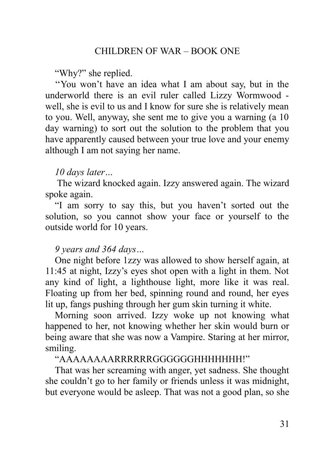"Why?" she replied.

''You won't have an idea what I am about say, but in the underworld there is an evil ruler called Lizzy Wormwood well, she is evil to us and I know for sure she is relatively mean to you. Well, anyway, she sent me to give you a warning (a 10 day warning) to sort out the solution to the problem that you have apparently caused between your true love and your enemy although I am not saying her name.

## *10 days later…*

 The wizard knocked again. Izzy answered again. The wizard spoke again.

"I am sorry to say this, but you haven't sorted out the solution, so you cannot show your face or yourself to the outside world for 10 years.

## *9 years and 364 days…*

One night before 1zzy was allowed to show herself again, at 11:45 at night, Izzy's eyes shot open with a light in them. Not any kind of light, a lighthouse light, more like it was real. Floating up from her bed, spinning round and round, her eyes lit up, fangs pushing through her gum skin turning it white.

Morning soon arrived. Izzy woke up not knowing what happened to her, not knowing whether her skin would burn or being aware that she was now a Vampire. Staring at her mirror, smiling.

## "AAAAAAAARRRRRRGGGGGGHHHHHHH!"

That was her screaming with anger, yet sadness. She thought she couldn't go to her family or friends unless it was midnight, but everyone would be asleep. That was not a good plan, so she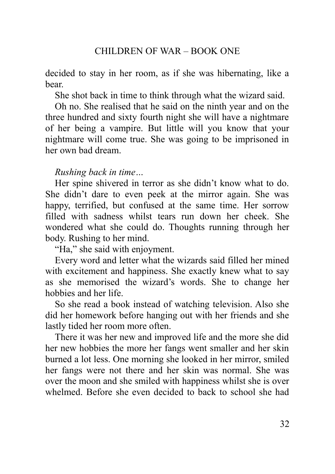decided to stay in her room, as if she was hibernating, like a bear.

She shot back in time to think through what the wizard said.

Oh no. She realised that he said on the ninth year and on the three hundred and sixty fourth night she will have a nightmare of her being a vampire. But little will you know that your nightmare will come true. She was going to be imprisoned in her own bad dream.

## *Rushing back in time…*

Her spine shivered in terror as she didn't know what to do. She didn't dare to even peek at the mirror again. She was happy, terrified, but confused at the same time. Her sorrow filled with sadness whilst tears run down her cheek. She wondered what she could do. Thoughts running through her body. Rushing to her mind.

"Ha," she said with enjoyment.

Every word and letter what the wizards said filled her mined with excitement and happiness. She exactly knew what to say as she memorised the wizard's words. She to change her hobbies and her life.

So she read a book instead of watching television. Also she did her homework before hanging out with her friends and she lastly tided her room more often.

There it was her new and improved life and the more she did her new hobbies the more her fangs went smaller and her skin burned a lot less. One morning she looked in her mirror, smiled her fangs were not there and her skin was normal. She was over the moon and she smiled with happiness whilst she is over whelmed. Before she even decided to back to school she had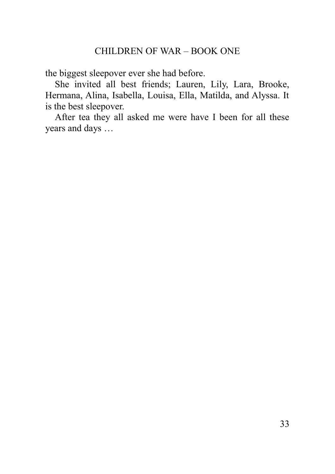the biggest sleepover ever she had before.

She invited all best friends; Lauren, Lily, Lara, Brooke, Hermana, Alina, Isabella, Louisa, Ella, Matilda, and Alyssa. It is the best sleepover.

<span id="page-32-0"></span>After tea they all asked me were have I been for all these years and days …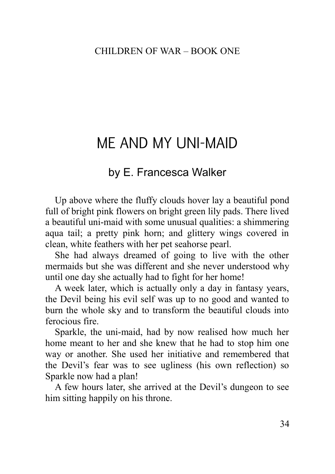# ME AND MY UNI-MAID

# by E. Francesca Walker

Up above where the fluffy clouds hover lay a beautiful pond full of bright pink flowers on bright green lily pads. There lived a beautiful uni-maid with some unusual qualities: a shimmering aqua tail; a pretty pink horn; and glittery wings covered in clean, white feathers with her pet seahorse pearl.

She had always dreamed of going to live with the other mermaids but she was different and she never understood why until one day she actually had to fight for her home!

A week later, which is actually only a day in fantasy years, the Devil being his evil self was up to no good and wanted to burn the whole sky and to transform the beautiful clouds into ferocious fire.

Sparkle, the uni-maid, had by now realised how much her home meant to her and she knew that he had to stop him one way or another. She used her initiative and remembered that the Devil's fear was to see ugliness (his own reflection) so Sparkle now had a plan!

A few hours later, she arrived at the Devil's dungeon to see him sitting happily on his throne.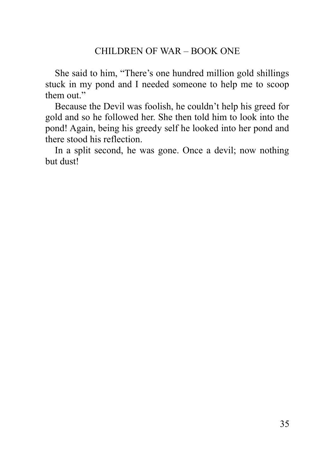She said to him, "There's one hundred million gold shillings stuck in my pond and I needed someone to help me to scoop them out."

Because the Devil was foolish, he couldn't help his greed for gold and so he followed her. She then told him to look into the pond! Again, being his greedy self he looked into her pond and there stood his reflection.

<span id="page-34-0"></span>In a split second, he was gone. Once a devil; now nothing but dust!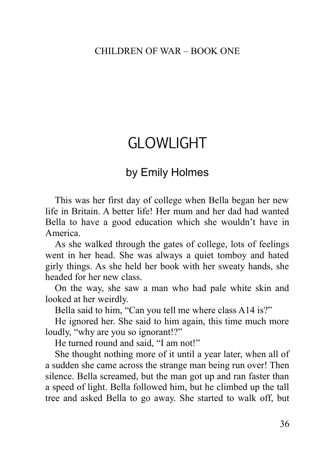# GLOWLIGHT

# by Emily Holmes

This was her first day of college when Bella began her new life in Britain. A better life! Her mum and her dad had wanted Bella to have a good education which she wouldn't have in America.

As she walked through the gates of college, lots of feelings went in her head. She was always a quiet tomboy and hated girly things. As she held her book with her sweaty hands, she headed for her new class.

On the way, she saw a man who had pale white skin and looked at her weirdly.

Bella said to him, "Can you tell me where class A14 is?"

He ignored her. She said to him again, this time much more loudly, "why are you so ignorant!?"

He turned round and said, "I am not!"

She thought nothing more of it until a year later, when all of a sudden she came across the strange man being run over! Then silence. Bella screamed, but the man got up and ran faster than a speed of light. Bella followed him, but he climbed up the tall tree and asked Bella to go away. She started to walk off, but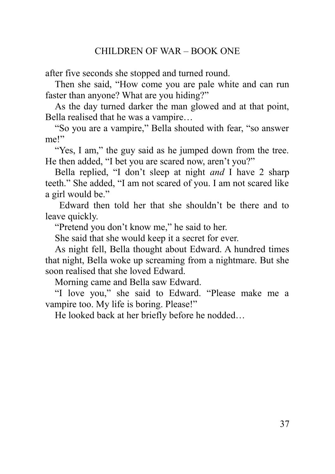after five seconds she stopped and turned round.

Then she said, "How come you are pale white and can run faster than anyone? What are you hiding?"

As the day turned darker the man glowed and at that point, Bella realised that he was a vampire…

"So you are a vampire," Bella shouted with fear, "so answer me!"

"Yes, I am," the guy said as he jumped down from the tree. He then added, "I bet you are scared now, aren't you?"

Bella replied, "I don't sleep at night *and* I have 2 sharp teeth." She added, "I am not scared of you. I am not scared like a girl would be."

 Edward then told her that she shouldn't be there and to leave quickly.

"Pretend you don't know me," he said to her.

She said that she would keep it a secret for ever.

As night fell, Bella thought about Edward. A hundred times that night, Bella woke up screaming from a nightmare. But she soon realised that she loved Edward.

Morning came and Bella saw Edward.

"I love you," she said to Edward. "Please make me a vampire too. My life is boring. Please!"

<span id="page-36-0"></span>He looked back at her briefly before he nodded…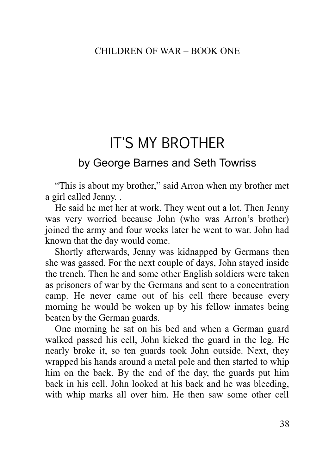# IT'S MY BROTHER

# by George Barnes and Seth Towriss

"This is about my brother," said Arron when my brother met a girl called Jenny. .

He said he met her at work. They went out a lot. Then Jenny was very worried because John (who was Arron's brother) joined the army and four weeks later he went to war. John had known that the day would come.

Shortly afterwards, Jenny was kidnapped by Germans then she was gassed. For the next couple of days, John stayed inside the trench. Then he and some other English soldiers were taken as prisoners of war by the Germans and sent to a concentration camp. He never came out of his cell there because every morning he would be woken up by his fellow inmates being beaten by the German guards.

One morning he sat on his bed and when a German guard walked passed his cell, John kicked the guard in the leg. He nearly broke it, so ten guards took John outside. Next, they wrapped his hands around a metal pole and then started to whip him on the back. By the end of the day, the guards put him back in his cell. John looked at his back and he was bleeding, with whip marks all over him. He then saw some other cell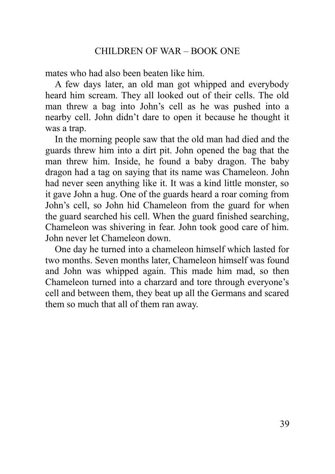mates who had also been beaten like him.

A few days later, an old man got whipped and everybody heard him scream. They all looked out of their cells. The old man threw a bag into John's cell as he was pushed into a nearby cell. John didn't dare to open it because he thought it was a trap.

In the morning people saw that the old man had died and the guards threw him into a dirt pit. John opened the bag that the man threw him. Inside, he found a baby dragon. The baby dragon had a tag on saying that its name was Chameleon. John had never seen anything like it. It was a kind little monster, so it gave John a hug. One of the guards heard a roar coming from John's cell, so John hid Chameleon from the guard for when the guard searched his cell. When the guard finished searching, Chameleon was shivering in fear. John took good care of him. John never let Chameleon down.

<span id="page-38-0"></span>One day he turned into a chameleon himself which lasted for two months. Seven months later, Chameleon himself was found and John was whipped again. This made him mad, so then Chameleon turned into a charzard and tore through everyone's cell and between them, they beat up all the Germans and scared them so much that all of them ran away.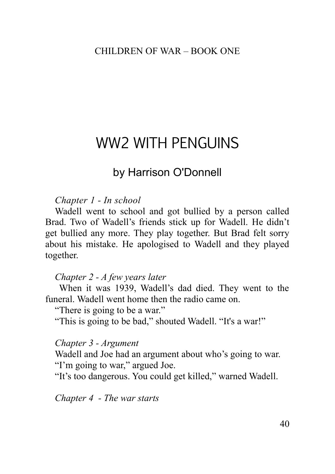# WW2 WITH PENGUINS

# by Harrison O'Donnell

#### *Chapter 1 - In school*

Wadell went to school and got bullied by a person called Brad. Two of Wadell's friends stick up for Wadell. He didn't get bullied any more. They play together. But Brad felt sorry about his mistake. He apologised to Wadell and they played together.

#### *Chapter 2 - A few years later*

 When it was 1939, Wadell's dad died. They went to the funeral. Wadell went home then the radio came on.

"There is going to be a war."

"This is going to be bad," shouted Wadell. "It's a war!"

#### *Chapter 3 - Argument*

Wadell and Joe had an argument about who's going to war. "I'm going to war," argued Joe.

"It's too dangerous. You could get killed," warned Wadell.

*Chapter 4 - The war starts*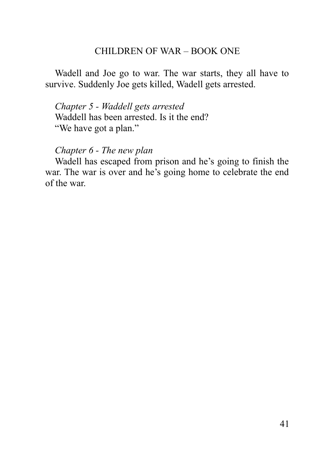Wadell and Joe go to war. The war starts, they all have to survive. Suddenly Joe gets killed, Wadell gets arrested.

*Chapter 5 - Waddell gets arrested* Waddell has been arrested. Is it the end? "We have got a plan."

*Chapter 6 - The new plan*

<span id="page-40-0"></span>Wadell has escaped from prison and he's going to finish the war. The war is over and he's going home to celebrate the end of the war.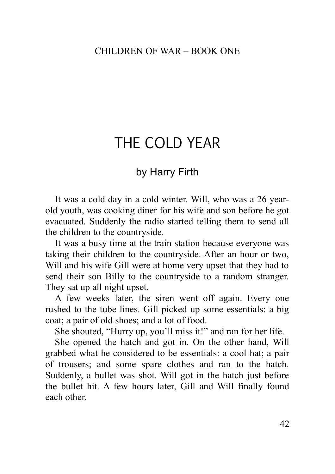# THE COLD YEAR

## by Harry Firth

It was a cold day in a cold winter. Will, who was a 26 yearold youth, was cooking diner for his wife and son before he got evacuated. Suddenly the radio started telling them to send all the children to the countryside.

It was a busy time at the train station because everyone was taking their children to the countryside. After an hour or two, Will and his wife Gill were at home very upset that they had to send their son Billy to the countryside to a random stranger. They sat up all night upset.

A few weeks later, the siren went off again. Every one rushed to the tube lines. Gill picked up some essentials: a big coat; a pair of old shoes; and a lot of food.

She shouted, "Hurry up, you'll miss it!" and ran for her life.

She opened the hatch and got in. On the other hand, Will grabbed what he considered to be essentials: a cool hat; a pair of trousers; and some spare clothes and ran to the hatch. Suddenly, a bullet was shot. Will got in the hatch just before the bullet hit. A few hours later, Gill and Will finally found each other.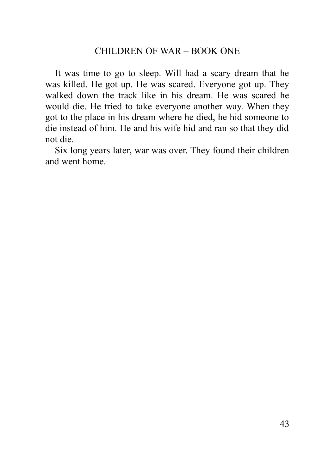It was time to go to sleep. Will had a scary dream that he was killed. He got up. He was scared. Everyone got up. They walked down the track like in his dream. He was scared he would die. He tried to take everyone another way. When they got to the place in his dream where he died, he hid someone to die instead of him. He and his wife hid and ran so that they did not die.

<span id="page-42-0"></span>Six long years later, war was over. They found their children and went home.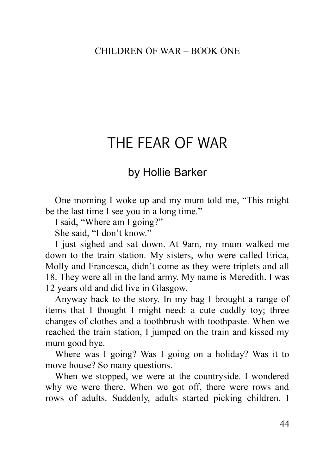# THE FEAR OF WAR

## by Hollie Barker

One morning I woke up and my mum told me, "This might be the last time I see you in a long time."

I said, "Where am I going?"

She said, "I don't know."

I just sighed and sat down. At 9am, my mum walked me down to the train station. My sisters, who were called Erica, Molly and Francesca, didn't come as they were triplets and all 18. They were all in the land army. My name is Meredith. I was 12 years old and did live in Glasgow.

Anyway back to the story. In my bag I brought a range of items that I thought I might need: a cute cuddly toy; three changes of clothes and a toothbrush with toothpaste. When we reached the train station, I jumped on the train and kissed my mum good bye.

Where was I going? Was I going on a holiday? Was it to move house? So many questions.

When we stopped, we were at the countryside. I wondered why we were there. When we got off, there were rows and rows of adults. Suddenly, adults started picking children. I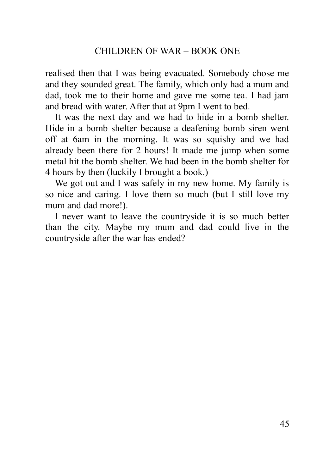realised then that I was being evacuated. Somebody chose me and they sounded great. The family, which only had a mum and dad, took me to their home and gave me some tea. I had jam and bread with water. After that at 9pm I went to bed.

It was the next day and we had to hide in a bomb shelter. Hide in a bomb shelter because a deafening bomb siren went off at 6am in the morning. It was so squishy and we had already been there for 2 hours! It made me jump when some metal hit the bomb shelter. We had been in the bomb shelter for 4 hours by then (luckily I brought a book.)

We got out and I was safely in my new home. My family is so nice and caring. I love them so much (but I still love my mum and dad more!).

<span id="page-44-0"></span>I never want to leave the countryside it is so much better than the city. Maybe my mum and dad could live in the countryside after the war has ended?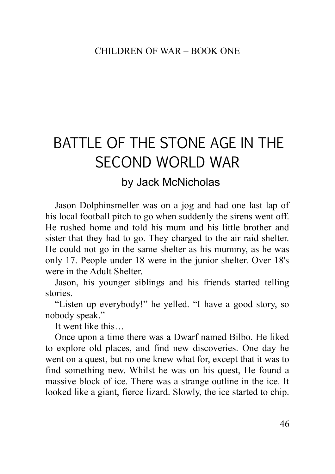# BATTLE OF THE STONE AGE IN THE SECOND WORLD WAR

# by Jack McNicholas

Jason Dolphinsmeller was on a jog and had one last lap of his local football pitch to go when suddenly the sirens went off. He rushed home and told his mum and his little brother and sister that they had to go. They charged to the air raid shelter. He could not go in the same shelter as his mummy, as he was only 17. People under 18 were in the junior shelter. Over 18's were in the Adult Shelter.

Jason, his younger siblings and his friends started telling stories.

"Listen up everybody!" he yelled. "I have a good story, so nobody speak."

It went like this…

Once upon a time there was a Dwarf named Bilbo. He liked to explore old places, and find new discoveries. One day he went on a quest, but no one knew what for, except that it was to find something new. Whilst he was on his quest, He found a massive block of ice. There was a strange outline in the ice. It looked like a giant, fierce lizard. Slowly, the ice started to chip.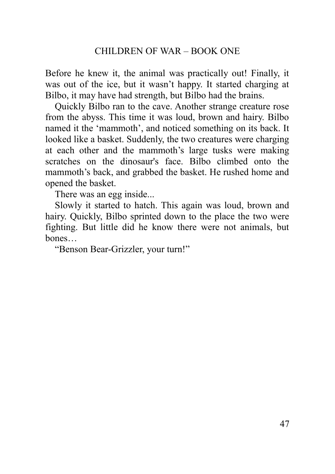Before he knew it, the animal was practically out! Finally, it was out of the ice, but it wasn't happy. It started charging at Bilbo, it may have had strength, but Bilbo had the brains.

Quickly Bilbo ran to the cave. Another strange creature rose from the abyss. This time it was loud, brown and hairy. Bilbo named it the 'mammoth', and noticed something on its back. It looked like a basket. Suddenly, the two creatures were charging at each other and the mammoth's large tusks were making scratches on the dinosaur's face. Bilbo climbed onto the mammoth's back, and grabbed the basket. He rushed home and opened the basket.

There was an egg inside...

Slowly it started to hatch. This again was loud, brown and hairy. Quickly, Bilbo sprinted down to the place the two were fighting. But little did he know there were not animals, but bones…

<span id="page-46-0"></span>"Benson Bear-Grizzler, your turn!"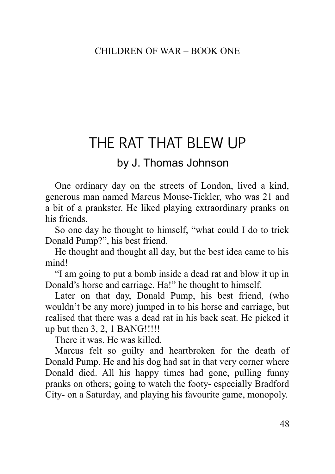# THE RAT THAT BLEW LIP

# by J. Thomas Johnson

One ordinary day on the streets of London, lived a kind, generous man named Marcus Mouse-Tickler, who was 21 and a bit of a prankster. He liked playing extraordinary pranks on his friends.

So one day he thought to himself, "what could I do to trick Donald Pump?", his best friend.

He thought and thought all day, but the best idea came to his mind!

"I am going to put a bomb inside a dead rat and blow it up in Donald's horse and carriage. Ha!" he thought to himself.

Later on that day, Donald Pump, his best friend, (who wouldn't be any more) jumped in to his horse and carriage, but realised that there was a dead rat in his back seat. He picked it up but then 3, 2, 1 BANG!!!!!

There it was. He was killed.

Marcus felt so guilty and heartbroken for the death of Donald Pump. He and his dog had sat in that very corner where Donald died. All his happy times had gone, pulling funny pranks on others; going to watch the footy- especially Bradford City- on a Saturday, and playing his favourite game, monopoly.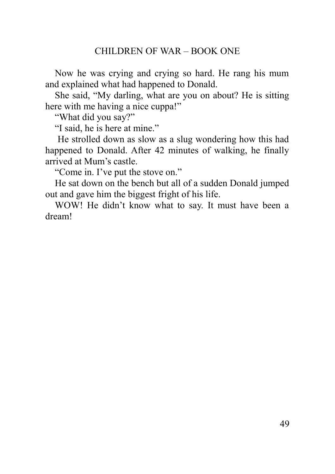Now he was crying and crying so hard. He rang his mum and explained what had happened to Donald.

She said, "My darling, what are you on about? He is sitting here with me having a nice cuppa!"

"What did you say?"

"I said, he is here at mine."

 He strolled down as slow as a slug wondering how this had happened to Donald. After 42 minutes of walking, he finally arrived at Mum's castle.

"Come in. I've put the stove on."

He sat down on the bench but all of a sudden Donald jumped out and gave him the biggest fright of his life.

<span id="page-48-0"></span>WOW! He didn't know what to say. It must have been a dream!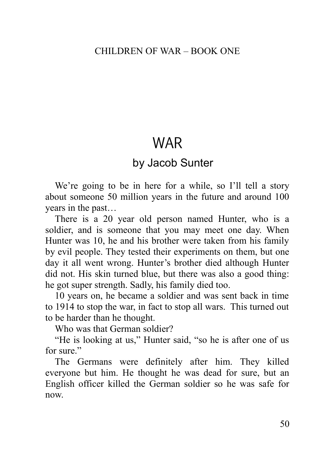# WAR

# by Jacob Sunter

We're going to be in here for a while, so I'll tell a story about someone 50 million years in the future and around 100 years in the past…

There is a 20 year old person named Hunter, who is a soldier, and is someone that you may meet one day. When Hunter was 10, he and his brother were taken from his family by evil people. They tested their experiments on them, but one day it all went wrong. Hunter's brother died although Hunter did not. His skin turned blue, but there was also a good thing: he got super strength. Sadly, his family died too.

10 years on, he became a soldier and was sent back in time to 1914 to stop the war, in fact to stop all wars. This turned out to be harder than he thought.

Who was that German soldier?

"He is looking at us," Hunter said, "so he is after one of us for sure."

The Germans were definitely after him. They killed everyone but him. He thought he was dead for sure, but an English officer killed the German soldier so he was safe for now.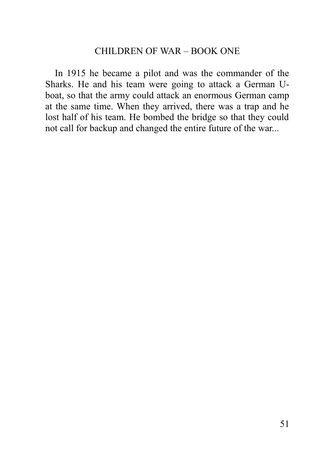<span id="page-50-0"></span>In 1915 he became a pilot and was the commander of the Sharks. He and his team were going to attack a German Uboat, so that the army could attack an enormous German camp at the same time. When they arrived, there was a trap and he lost half of his team. He bombed the bridge so that they could not call for backup and changed the entire future of the war...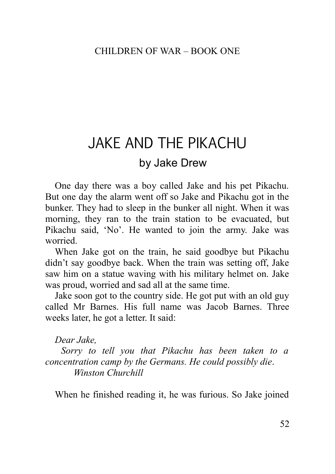# JAKE AND THE PIKACHU

# by Jake Drew

One day there was a boy called Jake and his pet Pikachu. But one day the alarm went off so Jake and Pikachu got in the bunker. They had to sleep in the bunker all night. When it was morning, they ran to the train station to be evacuated, but Pikachu said, 'No'. He wanted to join the army. Jake was worried.

When Jake got on the train, he said goodbye but Pikachu didn't say goodbye back. When the train was setting off, Jake saw him on a statue waving with his military helmet on. Jake was proud, worried and sad all at the same time.

Jake soon got to the country side. He got put with an old guy called Mr Barnes. His full name was Jacob Barnes. Three weeks later, he got a letter. It said:

## *Dear Jake,*

 *Sorry to tell you that Pikachu has been taken to a concentration camp by the Germans. He could possibly die*. *Winston Churchill* 

When he finished reading it, he was furious. So Jake joined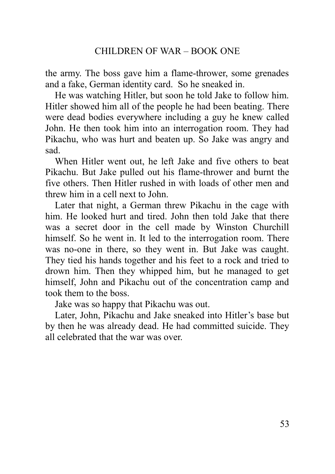the army. The boss gave him a flame-thrower, some grenades and a fake, German identity card. So he sneaked in.

He was watching Hitler, but soon he told Jake to follow him. Hitler showed him all of the people he had been beating. There were dead bodies everywhere including a guy he knew called John. He then took him into an interrogation room. They had Pikachu, who was hurt and beaten up. So Jake was angry and sad.

When Hitler went out, he left Jake and five others to beat Pikachu. But Jake pulled out his flame-thrower and burnt the five others. Then Hitler rushed in with loads of other men and threw him in a cell next to John.

Later that night, a German threw Pikachu in the cage with him. He looked hurt and tired. John then told Jake that there was a secret door in the cell made by Winston Churchill himself. So he went in. It led to the interrogation room. There was no-one in there, so they went in. But Jake was caught. They tied his hands together and his feet to a rock and tried to drown him. Then they whipped him, but he managed to get himself, John and Pikachu out of the concentration camp and took them to the boss.

Jake was so happy that Pikachu was out.

<span id="page-52-0"></span>Later, John, Pikachu and Jake sneaked into Hitler's base but by then he was already dead. He had committed suicide. They all celebrated that the war was over.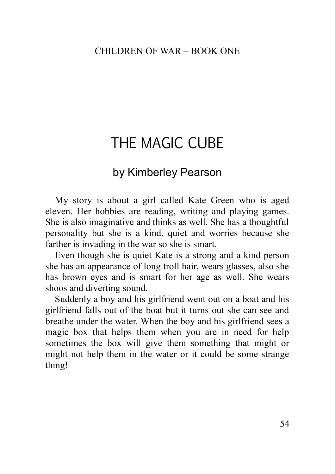# THE MAGIC CUBE

# by Kimberley Pearson

My story is about a girl called Kate Green who is aged eleven. Her hobbies are reading, writing and playing games. She is also imaginative and thinks as well. She has a thoughtful personality but she is a kind, quiet and worries because she farther is invading in the war so she is smart.

Even though she is quiet Kate is a strong and a kind person she has an appearance of long troll hair, wears glasses, also she has brown eyes and is smart for her age as well. She wears shoos and diverting sound.

<span id="page-53-0"></span>Suddenly a boy and his girlfriend went out on a boat and his girlfriend falls out of the boat but it turns out she can see and breathe under the water. When the boy and his girlfriend sees a magic box that helps them when you are in need for help sometimes the box will give them something that might or might not help them in the water or it could be some strange thing!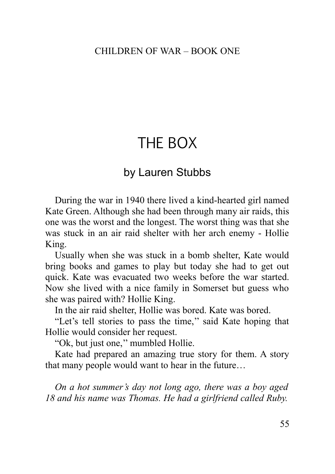# THE BOX

# by Lauren Stubbs

During the war in 1940 there lived a kind-hearted girl named Kate Green. Although she had been through many air raids, this one was the worst and the longest. The worst thing was that she was stuck in an air raid shelter with her arch enemy - Hollie King.

Usually when she was stuck in a bomb shelter, Kate would bring books and games to play but today she had to get out quick. Kate was evacuated two weeks before the war started. Now she lived with a nice family in Somerset but guess who she was paired with? Hollie King.

In the air raid shelter, Hollie was bored. Kate was bored.

"Let's tell stories to pass the time,'' said Kate hoping that Hollie would consider her request.

"Ok, but just one,'' mumbled Hollie.

Kate had prepared an amazing true story for them. A story that many people would want to hear in the future…

*On a hot summer's day not long ago, there was a boy aged 18 and his name was Thomas. He had a girlfriend called Ruby.*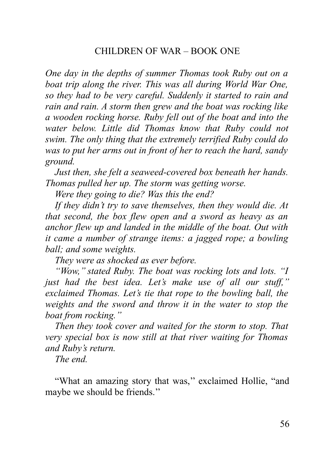*One day in the depths of summer Thomas took Ruby out on a boat trip along the river. This was all during World War One, so they had to be very careful. Suddenly it started to rain and rain and rain. A storm then grew and the boat was rocking like a wooden rocking horse. Ruby fell out of the boat and into the water below. Little did Thomas know that Ruby could not swim. The only thing that the extremely terrified Ruby could do was to put her arms out in front of her to reach the hard, sandy ground.*

*Just then, she felt a seaweed-covered box beneath her hands. Thomas pulled her up. The storm was getting worse.* 

*Were they going to die? Was this the end?* 

*If they didn't try to save themselves, then they would die. At that second, the box flew open and a sword as heavy as an anchor flew up and landed in the middle of the boat. Out with it came a number of strange items: a jagged rope; a bowling ball; and some weights.*

*They were as shocked as ever before.* 

*"Wow,'' stated Ruby. The boat was rocking lots and lots. "I just had the best idea. Let's make use of all our stuff,'' exclaimed Thomas. Let's tie that rope to the bowling ball, the weights and the sword and throw it in the water to stop the boat from rocking.''* 

*Then they took cover and waited for the storm to stop. That very special box is now still at that river waiting for Thomas and Ruby's return.*

*The end.*

"What an amazing story that was," exclaimed Hollie, "and maybe we should be friends.''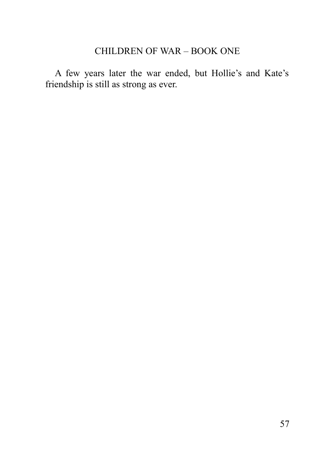<span id="page-56-0"></span>A few years later the war ended, but Hollie's and Kate's friendship is still as strong as ever.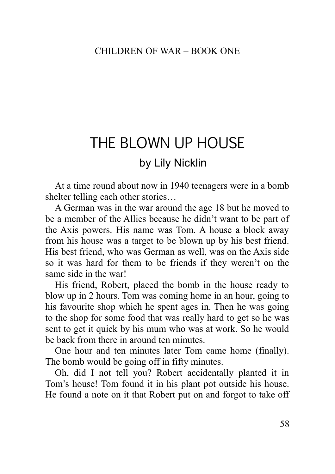# THE BLOWN UP HOUSE by Lily Nicklin

At a time round about now in 1940 teenagers were in a bomb shelter telling each other stories…

A German was in the war around the age 18 but he moved to be a member of the Allies because he didn't want to be part of the Axis powers. His name was Tom. A house a block away from his house was a target to be blown up by his best friend. His best friend, who was German as well, was on the Axis side so it was hard for them to be friends if they weren't on the same side in the war!

His friend, Robert, placed the bomb in the house ready to blow up in 2 hours. Tom was coming home in an hour, going to his favourite shop which he spent ages in. Then he was going to the shop for some food that was really hard to get so he was sent to get it quick by his mum who was at work. So he would be back from there in around ten minutes.

One hour and ten minutes later Tom came home (finally). The bomb would be going off in fifty minutes.

Oh, did I not tell you? Robert accidentally planted it in Tom's house! Tom found it in his plant pot outside his house. He found a note on it that Robert put on and forgot to take off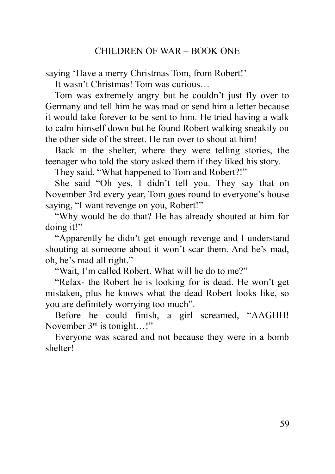saying 'Have a merry Christmas Tom, from Robert!'

It wasn't Christmas! Tom was curious…

Tom was extremely angry but he couldn't just fly over to Germany and tell him he was mad or send him a letter because it would take forever to be sent to him. He tried having a walk to calm himself down but he found Robert walking sneakily on the other side of the street. He ran over to shout at him!

Back in the shelter, where they were telling stories, the teenager who told the story asked them if they liked his story.

They said, "What happened to Tom and Robert?!"

She said "Oh yes, I didn't tell you. They say that on November 3rd every year, Tom goes round to everyone's house saying, "I want revenge on you, Robert!"

"Why would he do that? He has already shouted at him for doing it!"

"Apparently he didn't get enough revenge and I understand shouting at someone about it won't scar them. And he's mad, oh, he's mad all right."

"Wait, I'm called Robert. What will he do to me?"

"Relax- the Robert he is looking for is dead. He won't get mistaken, plus he knows what the dead Robert looks like, so you are definitely worrying too much".

Before he could finish, a girl screamed, "AAGHH! November 3<sup>rd</sup> is tonight...!"

<span id="page-58-0"></span>Everyone was scared and not because they were in a bomb shelter!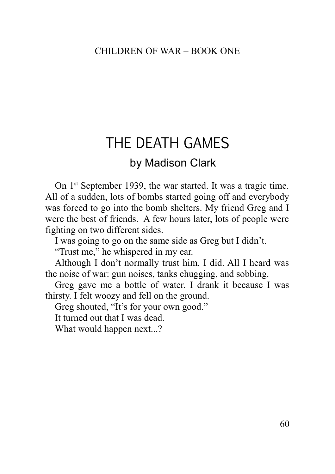# THE DEATH GAMES

# by Madison Clark

On 1<sup>st</sup> September 1939, the war started. It was a tragic time. All of a sudden, lots of bombs started going off and everybody was forced to go into the bomb shelters. My friend Greg and I were the best of friends. A few hours later, lots of people were fighting on two different sides.

I was going to go on the same side as Greg but I didn't.

"Trust me," he whispered in my ear.

Although I don't normally trust him, I did. All I heard was the noise of war: gun noises, tanks chugging, and sobbing.

Greg gave me a bottle of water. I drank it because I was thirsty. I felt woozy and fell on the ground.

Greg shouted, "It's for your own good."

It turned out that I was dead.

<span id="page-59-0"></span>What would happen next...?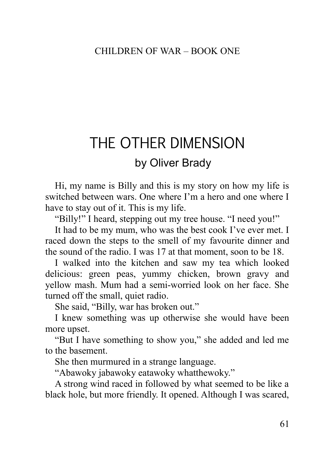# THE OTHER DIMENSION by Oliver Brady

Hi, my name is Billy and this is my story on how my life is switched between wars. One where I'm a hero and one where I have to stay out of it. This is my life.

"Billy!" I heard, stepping out my tree house. "I need you!"

It had to be my mum, who was the best cook I've ever met. I raced down the steps to the smell of my favourite dinner and the sound of the radio. I was 17 at that moment, soon to be 18.

I walked into the kitchen and saw my tea which looked delicious: green peas, yummy chicken, brown gravy and yellow mash. Mum had a semi-worried look on her face. She turned off the small, quiet radio.

She said, "Billy, war has broken out."

I knew something was up otherwise she would have been more upset.

"But I have something to show you," she added and led me to the basement.

She then murmured in a strange language.

"Abawoky jabawoky eatawoky whatthewoky."

A strong wind raced in followed by what seemed to be like a black hole, but more friendly. It opened. Although I was scared,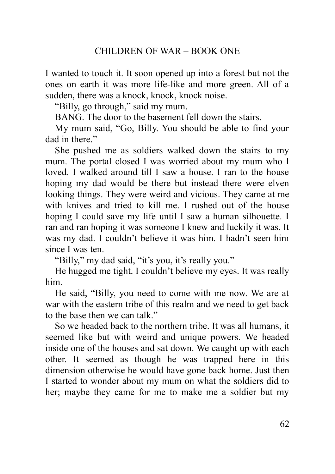I wanted to touch it. It soon opened up into a forest but not the ones on earth it was more life-like and more green. All of a sudden, there was a knock, knock, knock noise.

"Billy, go through," said my mum.

BANG. The door to the basement fell down the stairs.

My mum said, "Go, Billy. You should be able to find your dad in there."

She pushed me as soldiers walked down the stairs to my mum. The portal closed I was worried about my mum who I loved. I walked around till I saw a house. I ran to the house hoping my dad would be there but instead there were elven looking things. They were weird and vicious. They came at me with knives and tried to kill me. I rushed out of the house hoping I could save my life until I saw a human silhouette. I ran and ran hoping it was someone I knew and luckily it was. It was my dad. I couldn't believe it was him. I hadn't seen him since I was ten.

"Billy," my dad said, "it's you, it's really you."

He hugged me tight. I couldn't believe my eyes. It was really him.

He said, "Billy, you need to come with me now. We are at war with the eastern tribe of this realm and we need to get back to the base then we can talk."

So we headed back to the northern tribe. It was all humans, it seemed like but with weird and unique powers. We headed inside one of the houses and sat down. We caught up with each other. It seemed as though he was trapped here in this dimension otherwise he would have gone back home. Just then I started to wonder about my mum on what the soldiers did to her; maybe they came for me to make me a soldier but my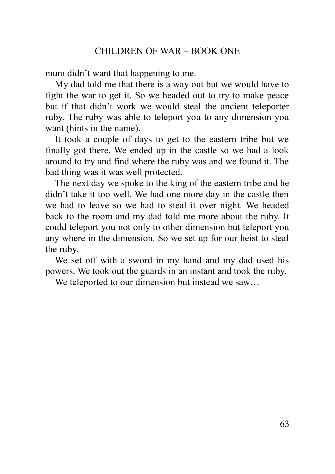mum didn't want that happening to me.

My dad told me that there is a way out but we would have to fight the war to get it. So we headed out to try to make peace but if that didn't work we would steal the ancient teleporter ruby. The ruby was able to teleport you to any dimension you want (hints in the name).

It took a couple of days to get to the eastern tribe but we finally got there. We ended up in the castle so we had a look around to try and find where the ruby was and we found it. The bad thing was it was well protected.

The next day we spoke to the king of the eastern tribe and he didn't take it too well. We had one more day in the castle then we had to leave so we had to steal it over night. We headed back to the room and my dad told me more about the ruby. It could teleport you not only to other dimension but teleport you any where in the dimension. So we set up for our heist to steal the ruby.

We set off with a sword in my hand and my dad used his powers. We took out the guards in an instant and took the ruby.

<span id="page-62-0"></span>We teleported to our dimension but instead we saw...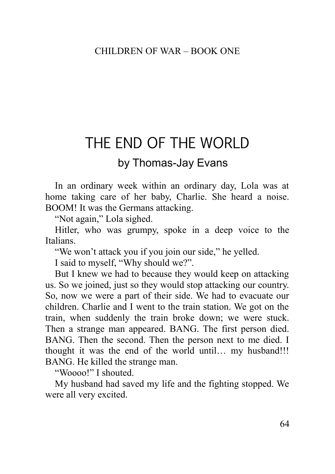# THE END OF THE WORLD

# by Thomas-Jay Evans

In an ordinary week within an ordinary day, Lola was at home taking care of her baby, Charlie. She heard a noise. BOOM! It was the Germans attacking.

"Not again," Lola sighed.

Hitler, who was grumpy, spoke in a deep voice to the Italians.

"We won't attack you if you join our side," he yelled.

I said to myself, "Why should we?".

But I knew we had to because they would keep on attacking us. So we joined, just so they would stop attacking our country. So, now we were a part of their side. We had to evacuate our children. Charlie and I went to the train station. We got on the train, when suddenly the train broke down; we were stuck. Then a strange man appeared. BANG. The first person died. BANG. Then the second. Then the person next to me died. I thought it was the end of the world until… my husband!!! BANG. He killed the strange man.

"Woooo!" I shouted.

My husband had saved my life and the fighting stopped. We were all very excited.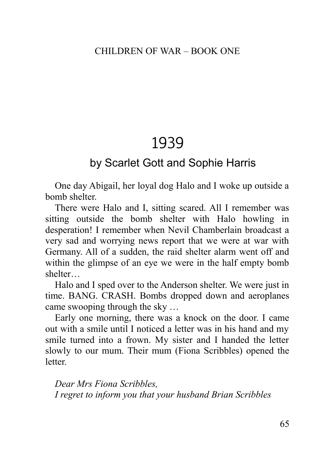# 1939

# <span id="page-64-0"></span>by Scarlet Gott and Sophie Harris

One day Abigail, her loyal dog Halo and I woke up outside a bomb shelter.

There were Halo and I, sitting scared. All I remember was sitting outside the bomb shelter with Halo howling in desperation! I remember when Nevil Chamberlain broadcast a very sad and worrying news report that we were at war with Germany. All of a sudden, the raid shelter alarm went off and within the glimpse of an eye we were in the half empty bomb shelter…

Halo and I sped over to the Anderson shelter. We were just in time. BANG. CRASH. Bombs dropped down and aeroplanes came swooping through the sky …

Early one morning, there was a knock on the door. I came out with a smile until I noticed a letter was in his hand and my smile turned into a frown. My sister and I handed the letter slowly to our mum. Their mum (Fiona Scribbles) opened the **letter** 

*Dear Mrs Fiona Scribbles, I regret to inform you that your husband Brian Scribbles*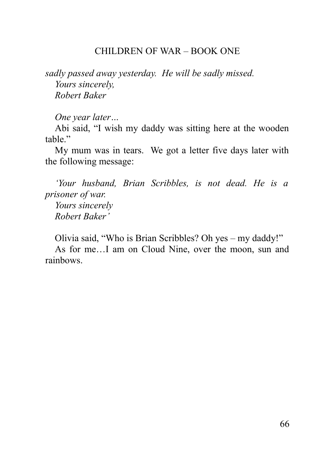*sadly passed away yesterday. He will be sadly missed. Yours sincerely, Robert Baker*

*One year later…* 

Abi said, "I wish my daddy was sitting here at the wooden table"

My mum was in tears. We got a letter five days later with the following message:

*'Your husband, Brian Scribbles, is not dead. He is a prisoner of war. Yours sincerely Robert Baker'*

<span id="page-65-0"></span>Olivia said, "Who is Brian Scribbles? Oh yes – my daddy!" As for me…I am on Cloud Nine, over the moon, sun and rainbows.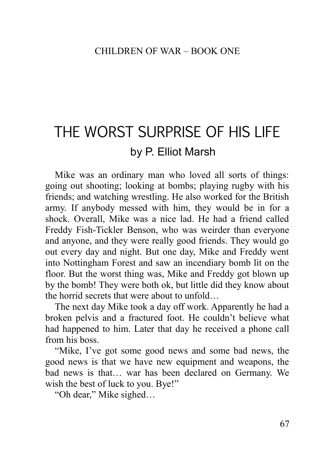# THE WORST SURPRISE OF HIS LIFE by P. Elliot Marsh

Mike was an ordinary man who loved all sorts of things: going out shooting; looking at bombs; playing rugby with his friends; and watching wrestling. He also worked for the British army. If anybody messed with him, they would be in for a shock. Overall, Mike was a nice lad. He had a friend called Freddy Fish-Tickler Benson, who was weirder than everyone and anyone, and they were really good friends. They would go out every day and night. But one day, Mike and Freddy went into Nottingham Forest and saw an incendiary bomb lit on the floor. But the worst thing was, Mike and Freddy got blown up by the bomb! They were both ok, but little did they know about the horrid secrets that were about to unfold…

The next day Mike took a day off work. Apparently he had a broken pelvis and a fractured foot. He couldn't believe what had happened to him. Later that day he received a phone call from his boss.

"Mike, I've got some good news and some bad news, the good news is that we have new equipment and weapons, the bad news is that… war has been declared on Germany. We wish the best of luck to you. Bye!"

"Oh dear," Mike sighed…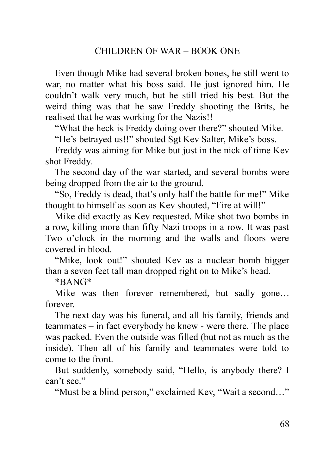Even though Mike had several broken bones, he still went to war, no matter what his boss said. He just ignored him. He couldn't walk very much, but he still tried his best. But the weird thing was that he saw Freddy shooting the Brits, he realised that he was working for the Nazis!!

"What the heck is Freddy doing over there?" shouted Mike.

"He's betrayed us!!" shouted Sgt Kev Salter, Mike's boss.

Freddy was aiming for Mike but just in the nick of time Kev shot Freddy.

The second day of the war started, and several bombs were being dropped from the air to the ground.

"So, Freddy is dead, that's only half the battle for me!" Mike thought to himself as soon as Kev shouted, "Fire at will!"

Mike did exactly as Kev requested. Mike shot two bombs in a row, killing more than fifty Nazi troops in a row. It was past Two o'clock in the morning and the walls and floors were covered in blood.

"Mike, look out!" shouted Kev as a nuclear bomb bigger than a seven feet tall man dropped right on to Mike's head.

\*BANG\*

Mike was then forever remembered, but sadly gone… forever.

The next day was his funeral, and all his family, friends and teammates – in fact everybody he knew - were there. The place was packed. Even the outside was filled (but not as much as the inside). Then all of his family and teammates were told to come to the front.

But suddenly, somebody said, "Hello, is anybody there? I can't see."

"Must be a blind person," exclaimed Kev, "Wait a second…"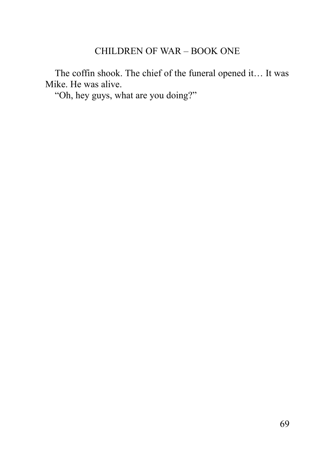The coffin shook. The chief of the funeral opened it… It was Mike. He was alive.

"Oh, hey guys, what are you doing?"